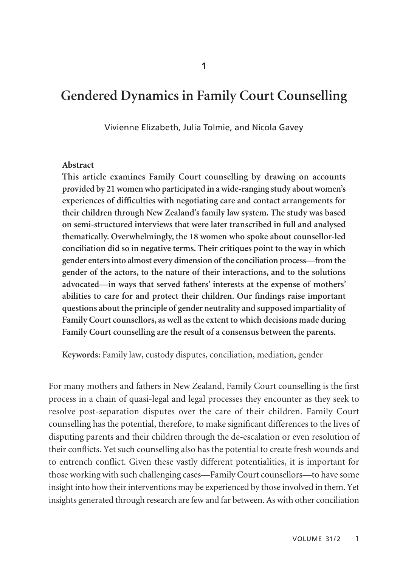# **Gendered Dynamics in Family Court Counselling**

Vivienne Elizabeth, Julia Tolmie, and Nicola Gavey

#### **Abstract**

**This article examines Family Court counselling by drawing on accounts provided by 21 women who participated in a wide-ranging study about women's experiences of difficulties with negotiating care and contact arrangements for their children through New Zealand's family law system. The study was based on semi-structured interviews that were later transcribed in full and analysed thematically. Overwhelmingly, the 18 women who spoke about counsellor-led conciliation did so in negative terms. Their critiques point to the way in which gender enters into almost every dimension of the conciliation process—from the gender of the actors, to the nature of their interactions, and to the solutions advocated—in ways that served fathers' interests at the expense of mothers' abilities to care for and protect their children. Our findings raise important questions about the principle of gender neutrality and supposed impartiality of Family Court counsellors, as well as the extent to which decisions made during Family Court counselling are the result of a consensus between the parents.** 

**Keywords:** Family law, custody disputes, conciliation, mediation, gender

For many mothers and fathers in New Zealand, Family Court counselling is the first process in a chain of quasi-legal and legal processes they encounter as they seek to resolve post-separation disputes over the care of their children. Family Court counselling has the potential, therefore, to make significant differences to the lives of disputing parents and their children through the de-escalation or even resolution of their conflicts. Yet such counselling also has the potential to create fresh wounds and to entrench conflict. Given these vastly different potentialities, it is important for those working with such challenging cases—Family Court counsellors—to have some insight into how their interventions may be experienced by those involved in them. Yet insights generated through research are few and far between. As with other conciliation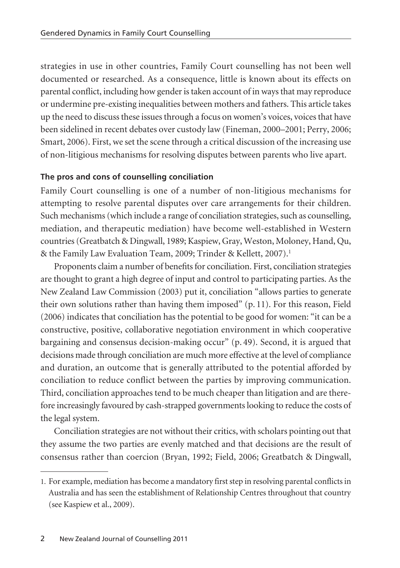strategies in use in other countries, Family Court counselling has not been well documented or researched. As a consequence, little is known about its effects on parental conflict, including how gender is taken account of in ways that may reproduce or undermine pre-existing inequalities between mothers and fathers. This article takes up the need to discuss these issues through a focus on women's voices, voices that have been sidelined in recent debates over custody law (Fineman, 2000–2001; Perry, 2006; Smart, 2006). First, we set the scene through a critical discussion of the increasing use of non-litigious mechanisms for resolving disputes between parents who live apart.

## **The pros and cons of counselling conciliation**

Family Court counselling is one of a number of non-litigious mechanisms for attempting to resolve parental disputes over care arrangements for their children. Such mechanisms (which include a range of conciliation strategies, such as counselling, mediation, and therapeutic mediation) have become well-established in Western countries (Greatbatch & Dingwall, 1989; Kaspiew, Gray, Weston, Moloney, Hand, Qu, & the Family Law Evaluation Team, 2009; Trinder & Kellett, 2007).<sup>1</sup>

Proponents claim a number of benefits for conciliation. First, conciliation strategies are thought to grant a high degree of input and control to participating parties. As the New Zealand Law Commission (2003) put it, conciliation "allows parties to generate their own solutions rather than having them imposed" (p. 11). For this reason, Field (2006) indicates that conciliation has the potential to be good for women: "it can be a constructive, positive, collaborative negotiation environment in which cooperative bargaining and consensus decision-making occur" (p. 49). Second, it is argued that decisions made through conciliation are much more effective at the level of compliance and duration, an outcome that is generally attributed to the potential afforded by conciliation to reduce conflict between the parties by improving communication. Third, conciliation approaches tend to be much cheaper than litigation and are therefore increasingly favoured by cash-strapped governments looking to reduce the costs of the legal system.

Conciliation strategies are not without their critics, with scholars pointing out that they assume the two parties are evenly matched and that decisions are the result of consensus rather than coercion (Bryan, 1992; Field, 2006; Greatbatch & Dingwall,

<sup>1.</sup> For example, mediation has become a mandatory first step in resolving parental conflicts in Australia and has seen the establishment of Relationship Centres throughout that country (see Kaspiew et al., 2009).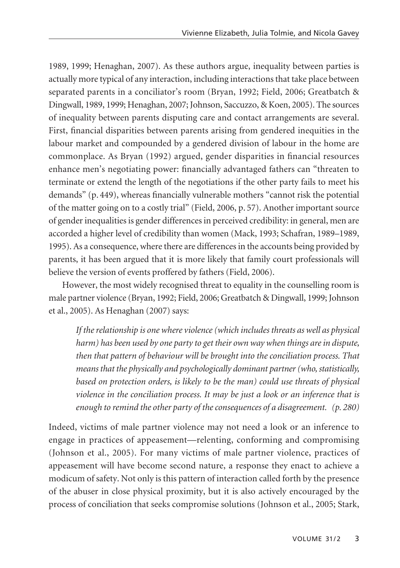1989, 1999; Henaghan, 2007). As these authors argue, inequality between parties is actually more typical of any interaction, including interactions that take place between separated parents in a conciliator's room (Bryan, 1992; Field, 2006; Greatbatch & Dingwall, 1989, 1999; Henaghan, 2007; Johnson, Saccuzzo, & Koen, 2005). The sources of inequality between parents disputing care and contact arrangements are several. First, financial disparities between parents arising from gendered inequities in the labour market and compounded by a gendered division of labour in the home are commonplace. As Bryan (1992) argued, gender disparities in financial resources enhance men's negotiating power: financially advantaged fathers can "threaten to terminate or extend the length of the negotiations if the other party fails to meet his demands" (p. 449), whereas financially vulnerable mothers "cannot risk the potential of the matter going on to a costly trial" (Field, 2006, p. 57). Another important source of gender inequalities is gender differences in perceived credibility: in general, men are accorded a higher level of credibility than women (Mack, 1993; Schafran, 1989–1989, 1995). As a consequence, where there are differences in the accounts being provided by parents, it has been argued that it is more likely that family court professionals will believe the version of events proffered by fathers (Field, 2006).

However, the most widely recognised threat to equality in the counselling room is male partner violence (Bryan, 1992; Field, 2006; Greatbatch & Dingwall, 1999; Johnson et al., 2005). As Henaghan (2007) says:

*If the relationship is one where violence (which includes threats as well as physical harm) has been used by one party to get their own way when things are in dispute, then that pattern of behaviour will be brought into the conciliation process. That means that the physically and psychologically dominant partner (who, statistically, based on protection orders, is likely to be the man) could use threats of physical violence in the conciliation process. It may be just a look or an inference that is enough to remind the other party of the consequences of a disagreement. (p. 280)*

Indeed, victims of male partner violence may not need a look or an inference to engage in practices of appeasement—relenting, conforming and compromising (Johnson et al., 2005). For many victims of male partner violence, practices of appeasement will have become second nature, a response they enact to achieve a modicum of safety. Not only is this pattern of interaction called forth by the presence of the abuser in close physical proximity, but it is also actively encouraged by the process of conciliation that seeks compromise solutions (Johnson et al., 2005; Stark,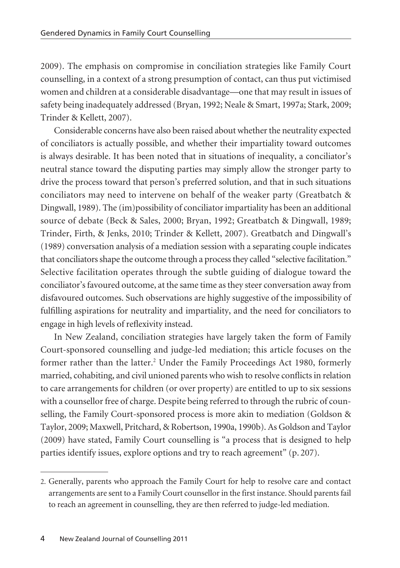2009). The emphasis on compromise in conciliation strategies like Family Court coun selling, in a context of a strong presumption of contact, can thus put victimised women and children at a considerable disadvantage—one that may result in issues of safety being inadequately addressed (Bryan, 1992; Neale & Smart, 1997a; Stark, 2009; Trinder & Kellett, 2007).

Considerable concerns have also been raised about whether the neutrality expected of conciliators is actually possible, and whether their impartiality toward outcomes is always desirable. It has been noted that in situations of inequality, a conciliator's neutral stance toward the disputing parties may simply allow the stronger party to drive the process toward that person's preferred solution, and that in such situations conciliators may need to intervene on behalf of the weaker party (Greatbatch & Dingwall, 1989). The (im)possibility of conciliator impartiality has been an additional source of debate (Beck & Sales, 2000; Bryan, 1992; Greatbatch & Dingwall, 1989; Trinder, Firth, & Jenks, 2010; Trinder & Kellett, 2007). Greatbatch and Dingwall's (1989) conversation analysis of a mediation session with a separating couple indicates that conciliators shape the outcome through a process they called "selective facilitation." Selective facilitation operates through the subtle guiding of dialogue toward the conciliator's favoured outcome, at the same time as they steer conversation away from disfavoured outcomes. Such observations are highly suggestive of the impossibility of fulfilling aspirations for neutrality and impartiality, and the need for conciliators to engage in high levels of reflexivity instead.

In New Zealand, conciliation strategies have largely taken the form of Family Court-sponsored counselling and judge-led mediation; this article focuses on the former rather than the latter.<sup>2</sup> Under the Family Proceedings Act 1980, formerly married, cohabiting, and civil unioned parents who wish to resolve conflicts in relation to care arrangements for children (or over property) are entitled to up to six sessions with a counsellor free of charge. Despite being referred to through the rubric of coun selling, the Family Court-sponsored process is more akin to mediation (Goldson & Taylor, 2009; Maxwell, Pritchard, & Robertson, 1990a, 1990b). As Goldson and Taylor (2009) have stated, Family Court counselling is "a process that is designed to help parties identify issues, explore options and try to reach agreement" (p. 207).

<sup>2.</sup> Generally, parents who approach the Family Court for help to resolve care and contact arrangements are sent to a Family Court counsellor in the first instance. Should parents fail to reach an agreement in counselling, they are then referred to judge-led mediation.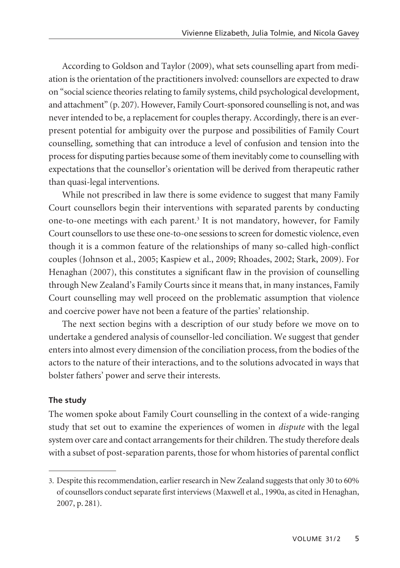According to Goldson and Taylor (2009), what sets counselling apart from mediation is the orientation of the practitioners involved: counsellors are expected to draw on "social science theories relating to family systems, child psychological development, and attachment" (p. 207). However, Family Court-sponsored counselling is not, and was never intended to be, a replacement for couples therapy. Accordingly, there is an everpresent potential for ambiguity over the purpose and possibilities of Family Court counselling, something that can introduce a level of confusion and tension into the process for disputing parties because some of them inevitably come to counselling with expectations that the counsellor's orientation will be derived from therapeutic rather than quasi-legal interventions.

While not prescribed in law there is some evidence to suggest that many Family Court counsellors begin their interventions with separated parents by conducting one-to-one meetings with each parent.3 It is not mandatory, however, for Family Court counsellors to use these one-to-one sessions to screen for domestic violence, even though it is a common feature of the relationships of many so-called high-conflict couples (Johnson et al., 2005; Kaspiew et al., 2009; Rhoades, 2002; Stark, 2009). For Henaghan (2007), this constitutes a significant flaw in the provision of counselling through New Zealand's Family Courts since it means that, in many instances, Family Court counselling may well proceed on the problematic assumption that violence and coercive power have not been a feature of the parties' relationship.

The next section begins with a description of our study before we move on to undertake a gendered analysis of counsellor-led conciliation. We suggest that gender enters into almost every dimension of the conciliation process, from the bodies of the actors to the nature of their interactions, and to the solutions advocated in ways that bolster fathers' power and serve their interests.

### **The study**

The women spoke about Family Court counselling in the context of a wide-ranging study that set out to examine the experiences of women in *dispute* with the legal system over care and contact arrangements for their children. The study therefore deals with a subset of post-separation parents, those for whom histories of parental conflict

<sup>3.</sup> Despite this recommendation, earlier research in New Zealand suggests that only 30 to 60% of counsellors conduct separate first interviews (Maxwell et al., 1990a, as cited in Henaghan, 2007, p. 281).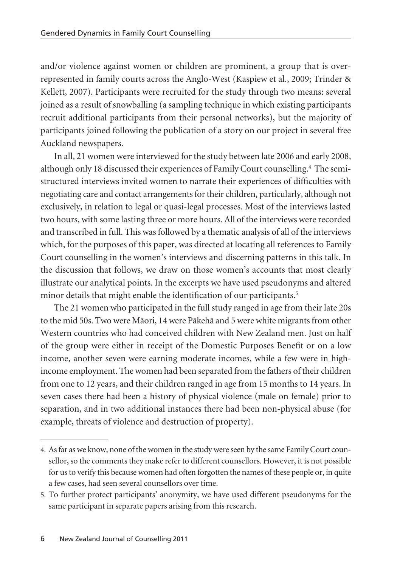and/or violence against women or children are prominent, a group that is overrepresented in family courts across the Anglo-West (Kaspiew et al., 2009; Trinder & Kellett, 2007). Participants were recruited for the study through two means: several joined as a result of snowballing (a sampling technique in which existing participants recruit additional participants from their personal networks), but the majority of participants joined following the publication of a story on our project in several free Auckland newspapers.

In all, 21 women were interviewed for the study between late 2006 and early 2008, although only 18 discussed their experiences of Family Court counselling.4 The semistructured interviews invited women to narrate their experiences of difficulties with negotiating care and contact arrangements for their children, particularly, although not exclusively, in relation to legal or quasi-legal processes. Most of the interviews lasted two hours, with some lasting three or more hours. All of the interviews were recorded and transcribed in full. This was followed by a thematic analysis of all of the interviews which, for the purposes of this paper, was directed at locating all references to Family Court counselling in the women's interviews and discerning patterns in this talk. In the discussion that follows, we draw on those women's accounts that most clearly illustrate our analytical points. In the excerpts we have used pseudonyms and altered minor details that might enable the identification of our participants.<sup>5</sup>

The 21 women who participated in the full study ranged in age from their late 20s to the mid 50s. Two were Mäori, 14 were Päkehä and 5 were white migrants from other Western countries who had conceived children with New Zealand men. Just on half of the group were either in receipt of the Domestic Purposes Benefit or on a low income, another seven were earning moderate incomes, while a few were in highincome employment. The women had been separated from the fathers of their children from one to 12 years, and their children ranged in age from 15 months to 14 years. In seven cases there had been a history of physical violence (male on female) prior to separation, and in two additional instances there had been non-physical abuse (for example, threats of violence and destruction of property).

<sup>4.</sup> As far as we know, none of the women in the study were seen by the same Family Court counsellor, so the comments they make refer to different counsellors. However, it is not possible for us to verify this because women had often forgotten the names of these people or, in quite a few cases, had seen several counsellors over time.

<sup>5.</sup> To further protect participants' anonymity, we have used different pseudonyms for the same participant in separate papers arising from this research.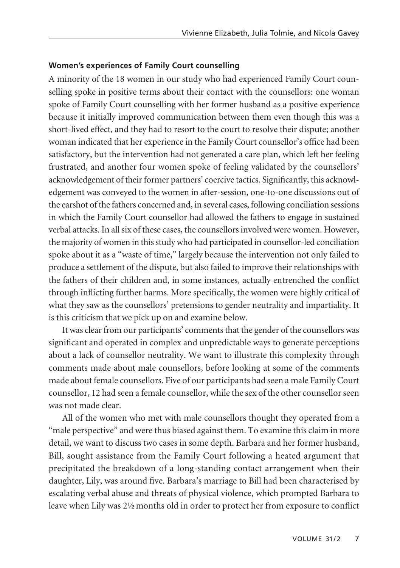#### **Women's experiences of Family Court counselling**

A minority of the 18 women in our study who had experienced Family Court coun selling spoke in positive terms about their contact with the counsellors: one woman spoke of Family Court counselling with her former husband as a positive experience because it initially improved communication between them even though this was a short-lived effect, and they had to resort to the court to resolve their dispute; another woman indicated that her experience in the Family Court counsellor's office had been satisfactory, but the intervention had not generated a care plan, which left her feeling frustrated, and another four women spoke of feeling validated by the counsellors' acknowledgement of their former partners' coercive tactics. Significantly, this acknowledge ment was conveyed to the women in after-session, one-to-one discussions out of the earshot of the fathers concerned and, in several cases, following conciliation sessions in which the Family Court counsellor had allowed the fathers to engage in sustained verbal attacks. In all six of these cases, the counsellors involved were women. However, the majority of women in this study who had participated in counsellor-led conciliation spoke about it as a "waste of time," largely because the intervention not only failed to produce a settlement of the dispute, but also failed to improve their relationships with the fathers of their children and, in some instances, actually entrenched the conflict through inflicting further harms. More specifically, the women were highly critical of what they saw as the counsellors' pretensions to gender neutrality and impartiality. It is this criticism that we pick up on and examine below.

It was clear from our participants' comments that the gender of the counsellors was significant and operated in complex and unpredictable ways to generate perceptions about a lack of counsellor neutrality. We want to illustrate this complexity through comments made about male counsellors, before looking at some of the comments made about female counsellors. Five of our participants had seen a male Family Court counsellor, 12 had seen a female counsellor, while the sex of the other counsellor seen was not made clear.

All of the women who met with male counsellors thought they operated from a "male perspective" and were thus biased against them. To examine this claim in more detail, we want to discuss two cases in some depth. Barbara and her former husband, Bill, sought assistance from the Family Court following a heated argument that precipitated the breakdown of a long-standing contact arrangement when their daughter, Lily, was around five. Barbara's marriage to Bill had been characterised by escalating verbal abuse and threats of physical violence, which prompted Barbara to leave when Lily was 2½ months old in order to protect her from exposure to conflict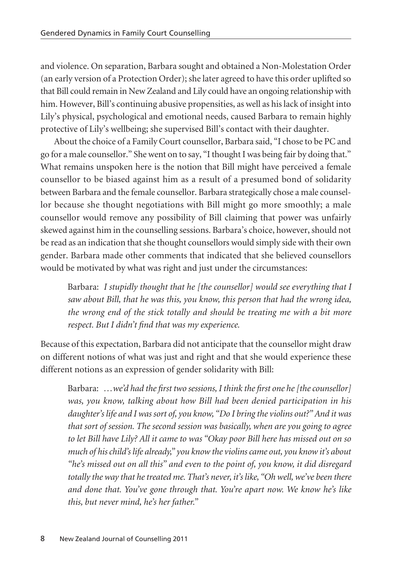and violence. On separation, Barbara sought and obtained a Non-Molestation Order (an early version of a Protection Order); she later agreed to have this order uplifted so that Bill could remain in New Zealand and Lily could have an ongoing relationship with him. However, Bill's continuing abusive propensities, as well as his lack of insight into Lily's physical, psychological and emotional needs, caused Barbara to remain highly protective of Lily's wellbeing; she supervised Bill's contact with their daughter.

About the choice of a Family Court counsellor, Barbara said, "I chose to be PC and go for a male counsellor." She went on to say, "I thought I was being fair by doing that." What remains unspoken here is the notion that Bill might have perceived a female counsellor to be biased against him as a result of a presumed bond of solidarity between Barbara and the female counsellor. Barbara strategically chose a male counsel lor because she thought negotiations with Bill might go more smoothly; a male counsellor would remove any possibility of Bill claiming that power was unfairly skewed against him in the counselling sessions. Barbara's choice, however, should not be read as an indication that she thought counsellors would simply side with their own gender. Barbara made other comments that indicated that she believed counsellors would be motivated by what was right and just under the circumstances:

Barbara: *I stupidly thought that he [the counsellor] would see everything that I saw about Bill, that he was this, you know, this person that had the wrong idea, the wrong end of the stick totally and should be treating me with a bit more respect. But I didn't find that was my experience.*

Because of this expectation, Barbara did not anticipate that the counsellor might draw on different notions of what was just and right and that she would experience these different notions as an expression of gender solidarity with Bill:

Barbara: *…we'd had the first two sessions, I think the first one he [the counsellor] was, you know, talking about how Bill had been denied participation in his daughter's life and I was sort of, you know, "Do I bring the violins out?" And it was that sort of session. The second session was basically, when are you going to agree to let Bill have Lily? All it came to was "Okay poor Bill here has missed out on so much of his child's life already," you know the violins came out, you know it's about "he's missed out on all this" and even to the point of, you know, it did disregard totally the way that he treated me. That's never, it's like, "Oh well, we've been there and done that. You've gone through that. You're apart now. We know he's like this, but never mind, he's her father."*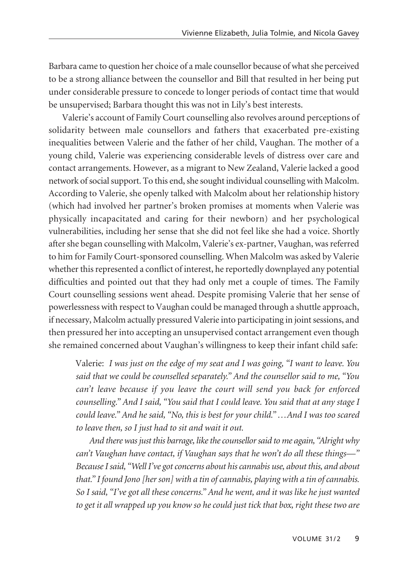Barbara came to question her choice of a male counsellor because of what she perceived to be a strong alliance between the counsellor and Bill that resulted in her being put under considerable pressure to concede to longer periods of contact time that would be unsupervised; Barbara thought this was not in Lily's best interests.

Valerie's account of Family Court counselling also revolves around perceptions of solidarity between male counsellors and fathers that exacerbated pre-existing inequalities between Valerie and the father of her child, Vaughan. The mother of a young child, Valerie was experiencing considerable levels of distress over care and contact arrangements. However, as a migrant to New Zealand, Valerie lacked a good network of social support. To this end, she sought individual counselling with Malcolm. According to Valerie, she openly talked with Malcolm about her relationship history (which had involved her partner's broken promises at moments when Valerie was physically incapacitated and caring for their newborn) and her psychological vulnerabilities, including her sense that she did not feel like she had a voice. Shortly after she began counselling with Malcolm, Valerie's ex-partner, Vaughan, was referred to him for Family Court-sponsored counselling. When Malcolm was asked by Valerie whether this represented a conflict of interest, he reportedly downplayed any potential difficulties and pointed out that they had only met a couple of times. The Family Court counselling sessions went ahead. Despite promising Valerie that her sense of powerlessness with respect to Vaughan could be managed through a shuttle approach, if necessary, Malcolm actually pressured Valerie into participating in joint sessions, and then pressured her into accepting an unsupervised contact arrangement even though she remained concerned about Vaughan's willingness to keep their infant child safe:

Valerie: *I was just on the edge of my seat and I was going, "I want to leave. You said that we could be counselled separately." And the counsellor said to me, "You can't leave because if you leave the court will send you back for enforced counselling." And I said, "You said that I could leave. You said that at any stage I could leave." And he said, "No, this is best for your child." …And I was too scared to leave then, so I just had to sit and wait it out.*

*And there was just this barrage, like the counsellor said to me again, "Alright why can't Vaughan have contact, if Vaughan says that he won't do all these things—" Because I said, "Well I've got concerns about his cannabis use, about this, and about that." I found Jono [her son] with a tin of cannabis, playing with a tin of cannabis. So I said, "I've got all these concerns." And he went, and it was like he just wanted to get it all wrapped up you know so he could just tick that box, right these two are*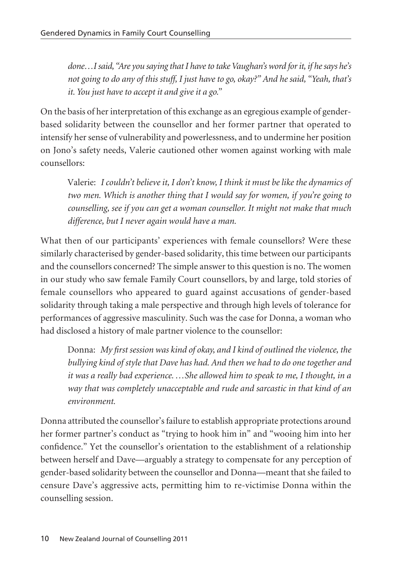*done…I said, "Are you saying that I have to take Vaughan's word for it, if he says he's not going to do any of this stuff, I just have to go, okay?" And he said, "Yeah, that's it. You just have to accept it and give it a go."*

On the basis of her interpretation of this exchange as an egregious example of genderbased solidarity between the counsellor and her former partner that operated to intensify her sense of vulnerability and powerlessness, and to undermine her position on Jono's safety needs, Valerie cautioned other women against working with male counsellors:

Valerie: *I couldn't believe it, I don't know, I think it must be like the dynamics of two men. Which is another thing that I would say for women, if you're going to counselling, see if you can get a woman counsellor. It might not make that much difference, but I never again would have a man.*

What then of our participants' experiences with female counsellors? Were these similarly characterised by gender-based solidarity, this time between our participants and the counsellors concerned? The simple answer to this question is no. The women in our study who saw female Family Court counsellors, by and large, told stories of female counsellors who appeared to guard against accusations of gender-based solidarity through taking a male perspective and through high levels of tolerance for performances of aggressive masculinity. Such was the case for Donna, a woman who had disclosed a history of male partner violence to the counsellor:

Donna: *My first session was kind of okay, and I kind of outlined the violence, the bullying kind of style that Dave has had. And then we had to do one together and it was a really bad experience. …She allowed him to speak to me, I thought, in a way that was completely unacceptable and rude and sarcastic in that kind of an environment.*

Donna attributed the counsellor's failure to establish appropriate protections around her former partner's conduct as "trying to hook him in" and "wooing him into her confidence." Yet the counsellor's orientation to the establishment of a relationship between herself and Dave—arguably a strategy to compensate for any perception of gender-based solidarity between the counsellor and Donna—meant that she failed to censure Dave's aggressive acts, permitting him to re-victimise Donna within the counselling session.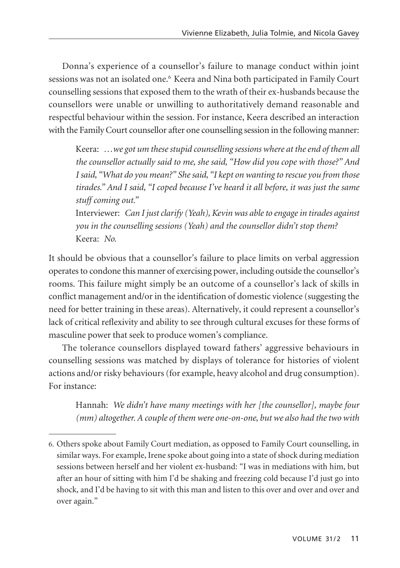Donna's experience of a counsellor's failure to manage conduct within joint sessions was not an isolated one.6 Keera and Nina both participated in Family Court counselling sessions that exposed them to the wrath of their ex-husbands because the counsellors were unable or unwilling to authoritatively demand reasonable and respectful behaviour within the session. For instance, Keera described an interaction with the Family Court counsellor after one counselling session in the following manner:

Keera: *…we got um these stupid counselling sessions where at the end of them all the counsellor actually said to me, she said, "How did you cope with those?" And I said, "What do you mean?" She said, "I kept on wanting to rescue you from those tirades." And I said, "I coped because I've heard it all before, it was just the same stuff coming out."*

Interviewer: *Can I just clarify (Yeah), Kevin was able to engage in tirades against you in the counselling sessions (Yeah) and the counsellor didn't stop them?* Keera: *No.*

It should be obvious that a counsellor's failure to place limits on verbal aggression operates to condone this manner of exercising power, including outside the counsellor's rooms. This failure might simply be an outcome of a counsellor's lack of skills in conflict management and/or in the identification of domestic violence (suggesting the need for better training in these areas). Alternatively, it could represent a counsellor's lack of critical reflexivity and ability to see through cultural excuses for these forms of masculine power that seek to produce women's compliance.

The tolerance counsellors displayed toward fathers' aggressive behaviours in counselling sessions was matched by displays of tolerance for histories of violent actions and/or risky behaviours (for example, heavy alcohol and drug consumption). For instance:

Hannah: *We didn't have many meetings with her [the counsellor], maybe four (mm) altogether. A couple of them were one-on-one, but we also had the two with*

<sup>6.</sup> Others spoke about Family Court mediation, as opposed to Family Court counselling, in similar ways. For example, Irene spoke about going into a state of shock during mediation sessions between herself and her violent ex-husband: "I was in mediations with him, but after an hour of sitting with him I'd be shaking and freezing cold because I'd just go into shock, and I'd be having to sit with this man and listen to this over and over and over and over again."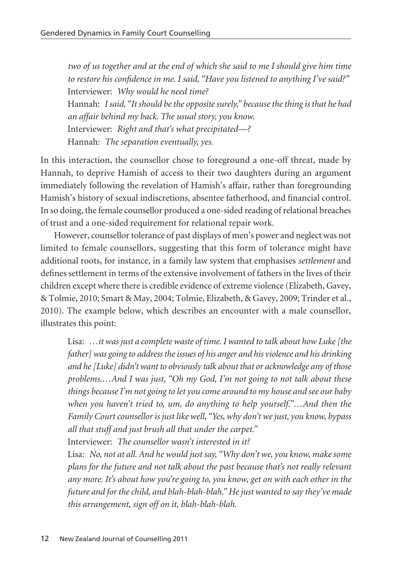*two of us together and at the end of which she said to me I should give him time to restore his confidence in me. I said, "Have you listened to anything I've said?"* Interviewer: *Why would he need time?* Hannah: *I said, "It should be the opposite surely," because the thing is that he had an affair behind my back. The usual story, you know.* Interviewer: *Right and that's what precipitated—?* Hannah: *The separation eventually, yes.*

In this interaction, the counsellor chose to foreground a one-off threat, made by Hannah, to deprive Hamish of access to their two daughters during an argument immediately following the revelation of Hamish's affair, rather than foregrounding Hamish's history of sexual indiscretions, absentee fatherhood, and financial control. In so doing, the female counsellor produced a one-sided reading of relational breaches of trust and a one-sided requirement for relational repair work.

However, counsellor tolerance of past displays of men's power and neglect was not limited to female counsellors, suggesting that this form of tolerance might have additional roots, for instance, in a family law system that emphasises *settlement* and defines settlement in terms of the extensive involvement of fathers in the lives of their children except where there is credible evidence of extreme violence (Elizabeth, Gavey, & Tolmie, 2010; Smart & May, 2004; Tolmie, Elizabeth, & Gavey, 2009; Trinder et al., 2010). The example below, which describes an encounter with a male counsellor, illustrates this point:

Lisa: *…it was just a complete waste of time. I wanted to talk about how Luke [the father] was going to address the issues of his anger and his violence and his drinking and he [Luke] didn't want to obviously talk about that or acknowledge any of those problems.…And I was just, "Oh my God, I'm not going to not talk about these things because I'm not going to let you come around to my house and see our baby when you haven't tried to, um, do anything to help yourself."…And then the Family Court counsellor is just like well, "Yes, why don't we just, you know, bypass all that stuff and just brush all that under the carpet."*

Interviewer: *The counsellor wasn't interested in it?*

Lisa: *No, not at all. And he would just say, "Why don't we, you know, make some plans for the future and not talk about the past because that's not really relevant any more. It's about how you're going to, you know, get on with each other in the future and for the child, and blah-blah-blah." He just wanted to say they've made this arrangement, sign off on it, blah-blah-blah.*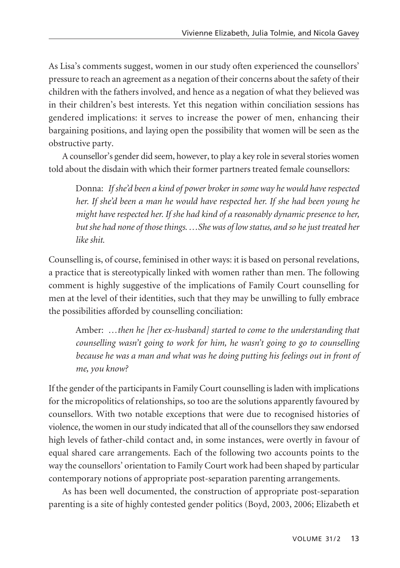As Lisa's comments suggest, women in our study often experienced the counsellors' pressure to reach an agreement as a negation of their concerns about the safety of their children with the fathers involved, and hence as a negation of what they believed was in their children's best interests. Yet this negation within conciliation sessions has gendered implications: it serves to increase the power of men, enhancing their bargaining positions, and laying open the possibility that women will be seen as the obstructive party.

A counsellor's gender did seem, however, to play a key role in several stories women told about the disdain with which their former partners treated female counsellors:

Donna: *If she'd been a kind of power broker in some way he would have respected her. If she'd been a man he would have respected her. If she had been young he might have respected her. If she had kind of a reasonably dynamic presence to her, but she had none of those things. …She was of low status, and so he just treated her like shit.*

Counselling is, of course, feminised in other ways: it is based on personal revelations, a practice that is stereotypically linked with women rather than men. The following comment is highly suggestive of the implications of Family Court counselling for men at the level of their identities, such that they may be unwilling to fully embrace the possibilities afforded by counselling conciliation:

Amber: *…then he [her ex-husband] started to come to the understanding that counselling wasn't going to work for him, he wasn't going to go to counselling because he was a man and what was he doing putting his feelings out in front of me, you know?*

If the gender of the participants in Family Court counselling is laden with implications for the micropolitics of relationships, so too are the solutions apparently favoured by counsellors. With two notable exceptions that were due to recognised histories of violence, the women in our study indicated that all of the counsellors they saw endorsed high levels of father-child contact and, in some instances, were overtly in favour of equal shared care arrangements. Each of the following two accounts points to the way the counsellors' orientation to Family Court work had been shaped by particular contemporary notions of appropriate post-separation parenting arrangements.

As has been well documented, the construction of appropriate post-separation parenting is a site of highly contested gender politics (Boyd, 2003, 2006; Elizabeth et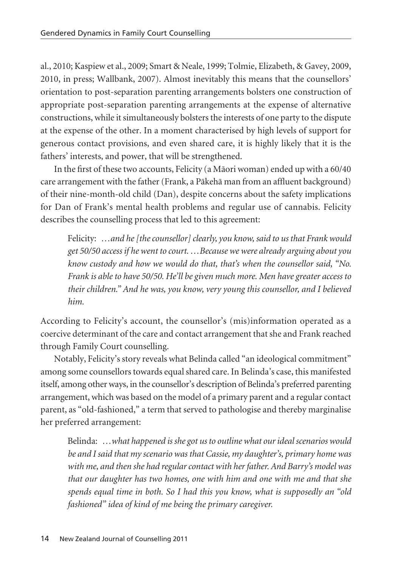al., 2010; Kaspiew et al., 2009; Smart & Neale, 1999; Tolmie, Elizabeth, & Gavey, 2009, 2010, in press; Wallbank, 2007). Almost inevitably this means that the counsellors' orientation to post-separation parenting arrangements bolsters one construction of appropriate post-separation parenting arrangements at the expense of alternative constructions, while it simultaneously bolsters the interests of one party to the dispute at the expense of the other. In a moment characterised by high levels of support for generous contact provisions, and even shared care, it is highly likely that it is the fathers' interests, and power, that will be strengthened.

In the first of these two accounts, Felicity (a Mäori woman) ended up with a 60/40 care arrangement with the father (Frank, a Päkehä man from an affluent background) of their nine-month-old child (Dan), despite concerns about the safety implications for Dan of Frank's mental health problems and regular use of cannabis. Felicity describes the counselling process that led to this agreement:

Felicity: *…and he [the counsellor] clearly, you know, said to us that Frank would get 50/50 access if he went to court. …Because we were already arguing about you know custody and how we would do that, that's when the counsellor said, "No. Frank is able to have 50/50. He'll be given much more. Men have greater access to their children." And he was, you know, very young this counsellor, and I believed him.* 

According to Felicity's account, the counsellor's (mis)information operated as a coercive determinant of the care and contact arrangement that she and Frank reached through Family Court counselling.

Notably, Felicity's story reveals what Belinda called "an ideological commitment" among some counsellors towards equal shared care. In Belinda's case, this manifested itself, among other ways, in the counsellor's description of Belinda's preferred parenting arrangement, which was based on the model of a primary parent and a regular contact parent, as "old-fashioned," a term that served to pathologise and thereby marginalise her preferred arrangement:

Belinda: *…what happened is she got us to outline what our ideal scenarios would be and I said that my scenario was that Cassie, my daughter's, primary home was with me, and then she had regular contact with her father. And Barry's model was that our daughter has two homes, one with him and one with me and that she spends equal time in both. So I had this you know, what is supposedly an "old fashioned" idea of kind of me being the primary caregiver.*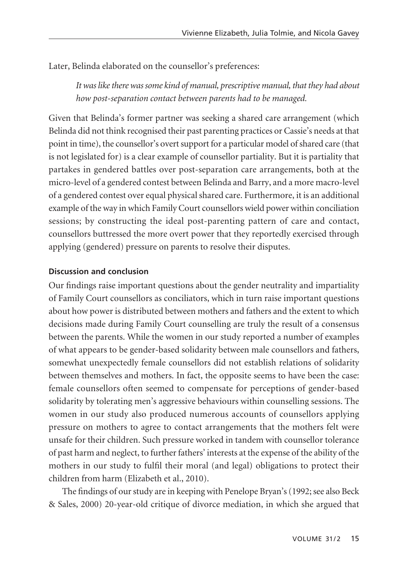Later, Belinda elaborated on the counsellor's preferences:

*It was like there was some kind of manual, prescriptive manual, that they had about how post-separation contact between parents had to be managed.*

Given that Belinda's former partner was seeking a shared care arrangement (which Belinda did not think recognised their past parenting practices or Cassie's needs at that point in time), the counsellor's overt support for a particular model of shared care (that is not legislated for) is a clear example of counsellor partiality. But it is partiality that partakes in gendered battles over post-separation care arrangements, both at the micro-level of a gendered contest between Belinda and Barry, and a more macro-level of a gendered contest over equal physical shared care. Furthermore, it is an additional example of the way in which Family Court counsellors wield power within conciliation sessions; by constructing the ideal post-parenting pattern of care and contact, counsellors buttressed the more overt power that they reportedly exercised through applying (gendered) pressure on parents to resolve their disputes.

## **Discussion and conclusion**

Our findings raise important questions about the gender neutrality and impartiality of Family Court counsellors as conciliators, which in turn raise important questions about how power is distributed between mothers and fathers and the extent to which decisions made during Family Court counselling are truly the result of a consensus between the parents. While the women in our study reported a number of examples of what appears to be gender-based solidarity between male counsellors and fathers, somewhat unexpectedly female counsellors did not establish relations of solidarity between themselves and mothers. In fact, the opposite seems to have been the case: female counsellors often seemed to compensate for perceptions of gender-based solidarity by tolerating men's aggressive behaviours within counselling sessions. The women in our study also produced numerous accounts of counsellors applying pressure on mothers to agree to contact arrangements that the mothers felt were unsafe for their children. Such pressure worked in tandem with counsellor tolerance of past harm and neglect, to further fathers' interests at the expense of the ability of the mothers in our study to fulfil their moral (and legal) obligations to protect their children from harm (Elizabeth et al., 2010).

The findings of our study are in keeping with Penelope Bryan's (1992; see also Beck & Sales, 2000) 20-year-old critique of divorce mediation, in which she argued that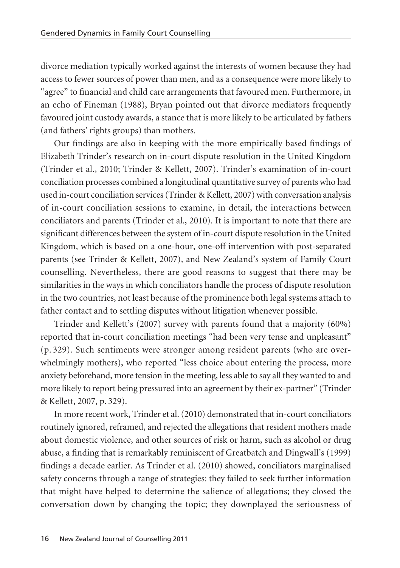divorce mediation typically worked against the interests of women because they had access to fewer sources of power than men, and as a consequence were more likely to "agree" to financial and child care arrangements that favoured men. Furthermore, in an echo of Fineman (1988), Bryan pointed out that divorce mediators frequently favoured joint custody awards, a stance that is more likely to be articulated by fathers (and fathers' rights groups) than mothers.

Our findings are also in keeping with the more empirically based findings of Elizabeth Trinder's research on in-court dispute resolution in the United Kingdom (Trinder et al., 2010; Trinder & Kellett, 2007). Trinder's examination of in-court conciliation processes combined a longitudinal quantitative survey of parents who had used in-court conciliation services (Trinder & Kellett, 2007) with conversation analysis of in-court conciliation sessions to examine, in detail, the interactions between conciliators and parents (Trinder et al., 2010). It is important to note that there are significant differences between the system of in-court dispute resolution in the United Kingdom, which is based on a one-hour, one-off intervention with post-separated parents (see Trinder & Kellett, 2007), and New Zealand's system of Family Court counselling. Nevertheless, there are good reasons to suggest that there may be similarities in the ways in which conciliators handle the process of dispute resolution in the two countries, not least because of the prominence both legal systems attach to father contact and to settling disputes without litigation whenever possible.

Trinder and Kellett's (2007) survey with parents found that a majority (60%) reported that in-court conciliation meetings "had been very tense and unpleasant" (p. 329). Such sentiments were stronger among resident parents (who are over whelmingly mothers), who reported "less choice about entering the process, more anxiety beforehand, more tension in the meeting, less able to say all they wanted to and more likely to report being pressured into an agreement by their ex-partner" (Trinder & Kellett, 2007, p. 329).

In more recent work, Trinder et al. (2010) demonstrated that in-court conciliators routinely ignored, reframed, and rejected the allegations that resident mothers made about domestic violence, and other sources of risk or harm, such as alcohol or drug abuse, a finding that is remarkably reminiscent of Greatbatch and Dingwall's (1999) findings a decade earlier. As Trinder et al. (2010) showed, conciliators marginalised safety concerns through a range of strategies: they failed to seek further information that might have helped to determine the salience of allegations; they closed the conversation down by changing the topic; they downplayed the seriousness of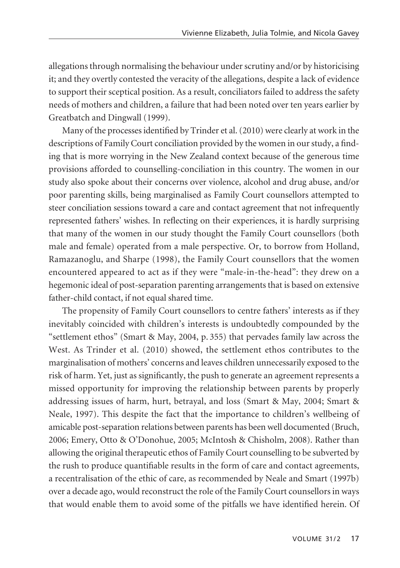allegations through normalising the behaviour under scrutiny and/or by historicising it; and they overtly contested the veracity of the allegations, despite a lack of evidence to support their sceptical position. As a result, conciliators failed to address the safety needs of mothers and children, a failure that had been noted over ten years earlier by Greatbatch and Dingwall (1999).

Many of the processes identified by Trinder et al. (2010) were clearly at work in the descriptions of Family Court conciliation provided by the women in our study, a finding that is more worrying in the New Zealand context because of the generous time provisions afforded to counselling-conciliation in this country. The women in our study also spoke about their concerns over violence, alcohol and drug abuse, and/or poor parenting skills, being marginalised as Family Court counsellors attempted to steer conciliation sessions toward a care and contact agreement that not infrequently represented fathers' wishes. In reflecting on their experiences, it is hardly surprising that many of the women in our study thought the Family Court counsellors (both male and female) operated from a male perspective. Or, to borrow from Holland, Ramazanoglu, and Sharpe (1998), the Family Court counsellors that the women encountered appeared to act as if they were "male-in-the-head": they drew on a hegemonic ideal of post-separation parenting arrangements that is based on extensive father-child contact, if not equal shared time.

The propensity of Family Court counsellors to centre fathers' interests as if they inevitably coincided with children's interests is undoubtedly compounded by the "settlement ethos" (Smart & May, 2004, p. 355) that pervades family law across the West. As Trinder et al. (2010) showed, the settlement ethos contributes to the marginalisation of mothers' concerns and leaves children unnecessarily exposed to the risk of harm. Yet, just as significantly, the push to generate an agreement represents a missed opportunity for improving the relationship between parents by properly addressing issues of harm, hurt, betrayal, and loss (Smart & May, 2004; Smart & Neale, 1997). This despite the fact that the importance to children's wellbeing of amicable post-separation relations between parents has been well documented (Bruch, 2006; Emery, Otto & O'Donohue, 2005; McIntosh & Chisholm, 2008). Rather than allowing the original therapeutic ethos of Family Court counselling to be subverted by the rush to produce quantifiable results in the form of care and contact agreements, a recentralisation of the ethic of care, as recommended by Neale and Smart (1997b) over a decade ago, would reconstruct the role of the Family Court counsellors in ways that would enable them to avoid some of the pitfalls we have identified herein. Of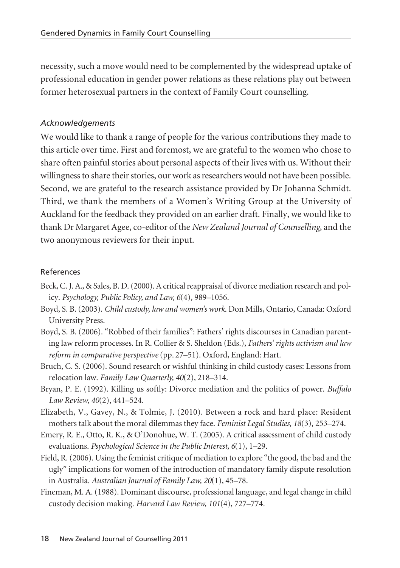necessity, such a move would need to be complemented by the widespread uptake of professional education in gender power relations as these relations play out between former heterosexual partners in the context of Family Court counselling.

#### *Acknowledgements*

We would like to thank a range of people for the various contributions they made to this article over time. First and foremost, we are grateful to the women who chose to share often painful stories about personal aspects of their lives with us. Without their willingness to share their stories, our work as researchers would not have been possible. Second, we are grateful to the research assistance provided by Dr Johanna Schmidt. Third, we thank the members of a Women's Writing Group at the University of Auckland for the feedback they provided on an earlier draft. Finally, we would like to thank Dr Margaret Agee, co-editor of the *New Zealand Journal of Counselling*, and the two anonymous reviewers for their input.

#### References

- Beck, C. J. A., & Sales, B. D. (2000). A critical reappraisal of divorce mediation research and policy. *Psychology, Public Policy, and Law, 6*(4), 989–1056.
- Boyd, S. B. (2003). *Child custody, law and women's work*. Don Mills, Ontario, Canada: Oxford University Press.
- Boyd, S. B. (2006). "Robbed of their families": Fathers' rights discourses in Canadian parenting law reform processes. In R. Collier & S. Sheldon (Eds.), *Fathers' rights activism and law reform in comparative perspective* (pp. 27–51). Oxford, England: Hart.
- Bruch, C. S. (2006). Sound research or wishful thinking in child custody cases: Lessons from relocation law. *Family Law Quarterly, 40*(2), 218–314.
- Bryan, P. E. (1992). Killing us softly: Divorce mediation and the politics of power. *Buffalo Law Review, 40*(2), 441–524.
- Elizabeth, V., Gavey, N., & Tolmie, J. (2010). Between a rock and hard place: Resident mothers talk about the moral dilemmas they face. *Feminist Legal Studies, 18*(3), 253–274.
- Emery, R. E., Otto, R. K., & O'Donohue, W. T. (2005). A critical assessment of child custody evaluations. *Psychological Science in the Public Interest, 6*(1), 1–29.
- Field, R. (2006). Using the feminist critique of mediation to explore "the good, the bad and the ugly" implications for women of the introduction of mandatory family dispute resolution in Australia. *Australian Journal of Family Law, 20*(1), 45–78.
- Fineman, M. A. (1988). Dominant discourse, professional language, and legal change in child custody decision making. *Harvard Law Review, 101*(4), 727–774.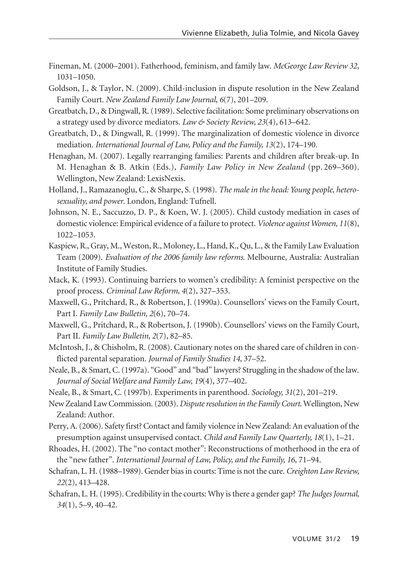- Fineman, M. (2000–2001). Fatherhood, feminism, and family law. *McGeorge Law Review 32*, 1031–1050.
- Goldson, J., & Taylor, N. (2009). Child-inclusion in dispute resolution in the New Zealand Family Court. *New Zealand Family Law Journal*, *6*(7), 201–209.
- Greatbatch, D., & Dingwall, R. (1989). Selective facilitation: Some preliminary observations on a strategy used by divorce mediators. *Law & Society Review, 23*(4), 613–642.
- Greatbatch, D., & Dingwall, R. (1999). The marginalization of domestic violence in divorce mediation. *International Journal of Law, Policy and the Family, 13*(2), 174–190.
- Henaghan, M. (2007). Legally rearranging families: Parents and children after break-up. In M. Henaghan & B. Atkin (Eds.), *Family Law Policy in New Zealand* (pp. 269–360). Wellington, New Zealand: LexisNexis.
- Holland, J., Ramazanoglu, C., & Sharpe, S. (1998). *The male in the head: Young people, heterosexuality, and power*. London, England: Tufnell.
- Johnson, N. E., Saccuzzo, D. P., & Koen, W. J. (2005). Child custody mediation in cases of domestic violence: Empirical evidence of a failure to protect. *Violence against Women, 11*(8), 1022–1053.
- Kaspiew, R., Gray, M., Weston, R., Moloney, L., Hand, K., Qu, L., & the Family Law Evaluation Team (2009). *Evaluation of the 2006 family law reforms*. Melbourne, Australia: Australian Institute of Family Studies.
- Mack, K. (1993). Continuing barriers to women's credibility: A feminist perspective on the proof process. *Criminal Law Reform, 4*(2), 327–353.
- Maxwell, G., Pritchard, R., & Robertson, J. (1990a). Counsellors' views on the Family Court, Part I. *Family Law Bulletin, 2*(6), 70–74.
- Maxwell, G., Pritchard, R., & Robertson, J. (1990b). Counsellors' views on the Family Court, Part II. *Family Law Bulletin, 2*(7), 82–85.
- McIntosh, J., & Chisholm, R. (2008). Cautionary notes on the shared care of children in conflicted parental separation. *Journal of Family Studies 14*, 37–52.
- Neale, B., & Smart, C. (1997a). "Good" and "bad" lawyers? Struggling in the shadow of the law. *Journal of Social Welfare and Family Law, 19*(4), 377–402.
- Neale, B., & Smart, C. (1997b). Experiments in parenthood. *Sociology, 31*(2), 201–219.
- New Zealand Law Commission. (2003). *Dispute resolution in the Family Court*. Wellington, New Zealand: Author.
- Perry, A. (2006). Safety first? Contact and family violence in New Zealand: An evaluation of the presumption against unsupervised contact. *Child and Family Law Quarterly, 18*(1), 1–21.
- Rhoades, H. (2002). The "no contact mother": Reconstructions of motherhood in the era of the "new father". *International Journal of Law, Policy, and the Family, 16*, 71–94.
- Schafran, L. H. (1988–1989). Gender bias in courts: Time is not the cure. *Creighton Law Review, 22*(2), 413–428.
- Schafran, L. H. (1995). Credibility in the courts: Why is there a gender gap? *The Judges Journal, 34*(1), 5–9, 40–42.